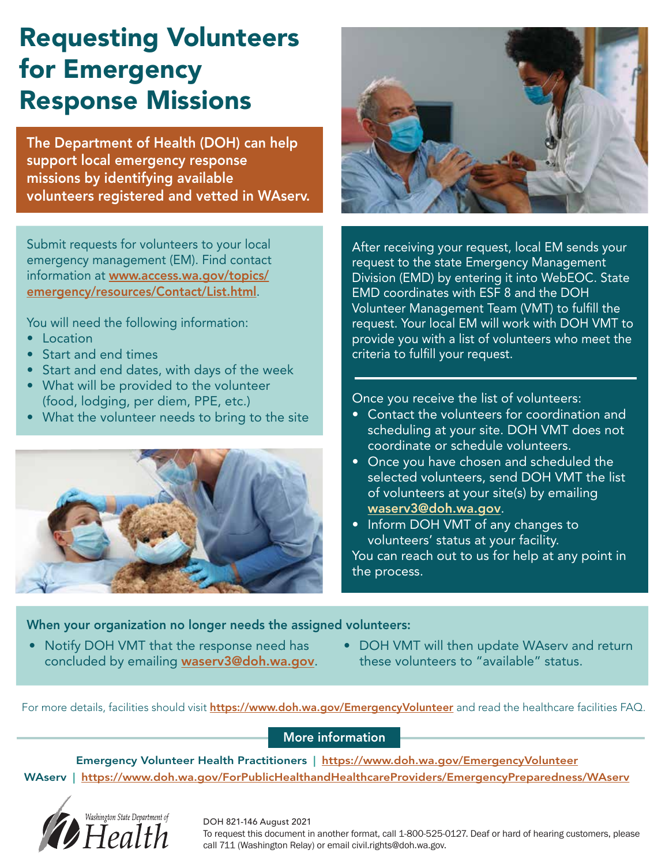# Requesting Volunteers for Emergency Response Missions

The Department of Health (DOH) can help support local emergency response missions by identifying available volunteers registered and vetted in WAserv.

Submit requests for volunteers to your local emergency management (EM). Find contact information at [www.access.wa.gov/topics/](https://access.wa.gov/topics/emergency/resources/Contact/List.html) [emergency/resources/Contact/List.html](https://access.wa.gov/topics/emergency/resources/Contact/List.html).

You will need the following information:

- Location
- Start and end times
- Start and end dates, with days of the week
- What will be provided to the volunteer (food, lodging, per diem, PPE, etc.)
- What the volunteer needs to bring to the site





After receiving your request, local EM sends your request to the state Emergency Management Division (EMD) by entering it into WebEOC. State EMD coordinates with ESF 8 and the DOH Volunteer Management Team (VMT) to fulfill the request. Your local EM will work with DOH VMT to provide you with a list of volunteers who meet the criteria to fulfill your request.

Once you receive the list of volunteers:

- Contact the volunteers for coordination and scheduling at your site. DOH VMT does not coordinate or schedule volunteers.
- Once you have chosen and scheduled the selected volunteers, send DOH VMT the list of volunteers at your site(s) by emailing [waserv3@doh.wa.gov](emailto:waserv3@doh.wa.gov).
- Inform DOH VMT of any changes to volunteers' status at your facility.

You can reach out to us for help at any point in the process.

When your organization no longer needs the assigned volunteers:

- Notify DOH VMT that the response need has concluded by emailing [waserv3@doh.wa.gov](emailto:waserv3@doh.wa.gov).
- DOH VMT will then update WAserv and return these volunteers to "available" status.

For more details, facilities should visit **[https://www.doh.wa.gov/EmergencyVolunteer](https://www.doh.wa.gov/Emergencies/COVID19/HealthcareProviders/EmergencyVolunteerHealthPractitioners)** and read the healthcare facilities FAQ.

### More information

Emergency Volunteer Health Practitioners | [https://www.doh.wa.gov/EmergencyVolunteer](https://www.doh.wa.gov/Emergencies/COVID19/HealthcareProviders/EmergencyVolunteerHealthPractitioners) WAserv | <https://www.doh.wa.gov/ForPublicHealthandHealthcareProviders/EmergencyPreparedness/WAserv>



#### DOH 821-146 August 2021

To request this document in another format, call 1-800-525-0127. Deaf or hard of hearing customers, please call 711 (Washington Relay) or email civil.rights@doh.wa.gov.